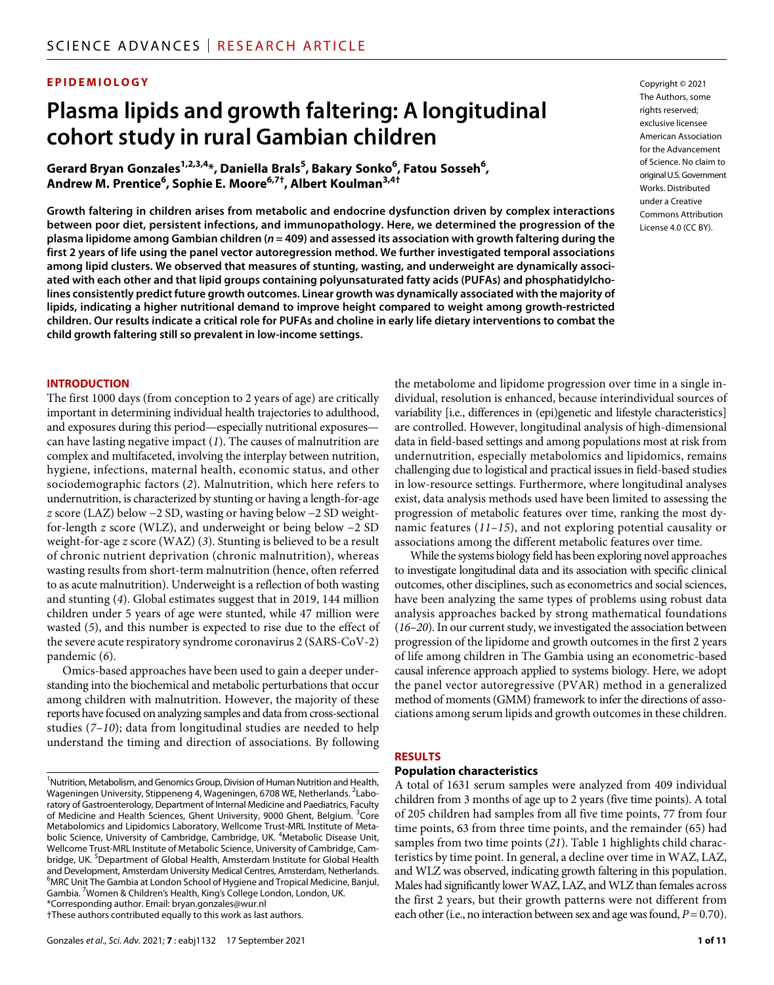### **EPIDEMIOLOGY**

# **Plasma lipids and growth faltering: A longitudinal cohort study in rural Gambian children**

 $\mathsf{Gerard}\ \mathsf{Bryan}\ \mathsf{Gonzales}^{\mathsf{1,2,3,4}}$ , Daniella Brals $^{\mathsf{5}}$ , Bakary Sonko $^{\mathsf{6}}$ , Fatou Sosseh $^{\mathsf{6}}$ , **Andrew M. Prentice6 , Sophie E. Moore6,7† , Albert Koulman3,4†**

**Growth faltering in children arises from metabolic and endocrine dysfunction driven by complex interactions between poor diet, persistent infections, and immunopathology. Here, we determined the progression of the plasma lipidome among Gambian children (***n* **= 409) and assessed its association with growth faltering during the first 2 years of life using the panel vector autoregression method. We further investigated temporal associations among lipid clusters. We observed that measures of stunting, wasting, and underweight are dynamically associated with each other and that lipid groups containing polyunsaturated fatty acids (PUFAs) and phosphatidylcholines consistently predict future growth outcomes. Linear growth was dynamically associated with the majority of lipids, indicating a higher nutritional demand to improve height compared to weight among growth-restricted children. Our results indicate a critical role for PUFAs and choline in early life dietary interventions to combat the child growth faltering still so prevalent in low-income settings.**

#### **INTRODUCTION**

The first 1000 days (from conception to 2 years of age) are critically important in determining individual health trajectories to adulthood, and exposures during this period—especially nutritional exposures can have lasting negative impact (*1*). The causes of malnutrition are complex and multifaceted, involving the interplay between nutrition, hygiene, infections, maternal health, economic status, and other sociodemographic factors (*2*). Malnutrition, which here refers to undernutrition, is characterized by stunting or having a length-for-age *z* score (LAZ) below −2 SD, wasting or having below −2 SD weightfor-length *z* score (WLZ), and underweight or being below −2 SD weight-for-age *z* score (WAZ) (*3*). Stunting is believed to be a result of chronic nutrient deprivation (chronic malnutrition), whereas wasting results from short-term malnutrition (hence, often referred to as acute malnutrition). Underweight is a reflection of both wasting and stunting (*4*). Global estimates suggest that in 2019, 144 million children under 5 years of age were stunted, while 47 million were wasted (*5*), and this number is expected to rise due to the effect of the severe acute respiratory syndrome coronavirus 2 (SARS-CoV-2) pandemic (*6*).

Omics-based approaches have been used to gain a deeper understanding into the biochemical and metabolic perturbations that occur among children with malnutrition. However, the majority of these reports have focused on analyzing samples and data from cross-sectional studies (*7*–*10*); data from longitudinal studies are needed to help understand the timing and direction of associations. By following

†These authors contributed equally to this work as last authors.

Copyright © 2021 The Authors, some rights reserved: exclusive licensee American Association for the Advancement of Science. No claim to original U.S.Government Works. Distributed under a Creative Commons Attribution License 4.0 (CC BY).

the metabolome and lipidome progression over time in a single individual, resolution is enhanced, because interindividual sources of variability [i.e., differences in (epi)genetic and lifestyle characteristics] are controlled. However, longitudinal analysis of high-dimensional data in field-based settings and among populations most at risk from undernutrition, especially metabolomics and lipidomics, remains challenging due to logistical and practical issues in field-based studies in low-resource settings. Furthermore, where longitudinal analyses exist, data analysis methods used have been limited to assessing the progression of metabolic features over time, ranking the most dynamic features (*11*–*15*), and not exploring potential causality or associations among the different metabolic features over time.

While the systems biology field has been exploring novel approaches to investigate longitudinal data and its association with specific clinical outcomes, other disciplines, such as econometrics and social sciences, have been analyzing the same types of problems using robust data analysis approaches backed by strong mathematical foundations (*16*–*20*). In our current study, we investigated the association between progression of the lipidome and growth outcomes in the first 2 years of life among children in The Gambia using an econometric-based causal inference approach applied to systems biology. Here, we adopt the panel vector autoregressive (PVAR) method in a generalized method of moments (GMM) framework to infer the directions of associations among serum lipids and growth outcomes in these children.

#### **RESULTS**

#### **Population characteristics**

A total of 1631 serum samples were analyzed from 409 individual children from 3 months of age up to 2 years (five time points). A total of 205 children had samples from all five time points, 77 from four time points, 63 from three time points, and the remainder (65) had samples from two time points (*21*). Table 1 highlights child characteristics by time point. In general, a decline over time in WAZ, LAZ, and WLZ was observed, indicating growth faltering in this population. Males had significantly lower WAZ, LAZ, and WLZ than females across the first 2 years, but their growth patterns were not different from each other (i.e., no interaction between sex and age was found,  $P = 0.70$ ).

<sup>&</sup>lt;sup>1</sup> Nutrition, Metabolism, and Genomics Group, Division of Human Nutrition and Health, Wageningen University, Stippeneng 4, Wageningen, 6708 WE, Netherlands. <sup>2</sup>Laboratory of Gastroenterology, Department of Internal Medicine and Paediatrics, Faculty of Medicine and Health Sciences, Ghent University, 9000 Ghent, Belgium. <sup>3</sup>Core Metabolomics and Lipidomics Laboratory, Wellcome Trust-MRL Institute of Metabolic Science, University of Cambridge, Cambridge, UK. <sup>4</sup>Metabolic Disease Unit, Wellcome Trust-MRL Institute of Metabolic Science, University of Cambridge, Cambridge, UK. <sup>5</sup>Department of Global Health, Amsterdam Institute for Global Health and Development, Amsterdam University Medical Centres, Amsterdam, Netherlands. <sup>6</sup>MRC Un<u>i</u>t The Gambia at London School of Hygiene and Tropical Medicine, Banjul, Gambia. <sup>7</sup> Women & Children's Health, King's College London, London, UK. \*Corresponding author. Email: [bryan.gonzales@wur.nl](mailto:bryan.gonzales@wur.nl)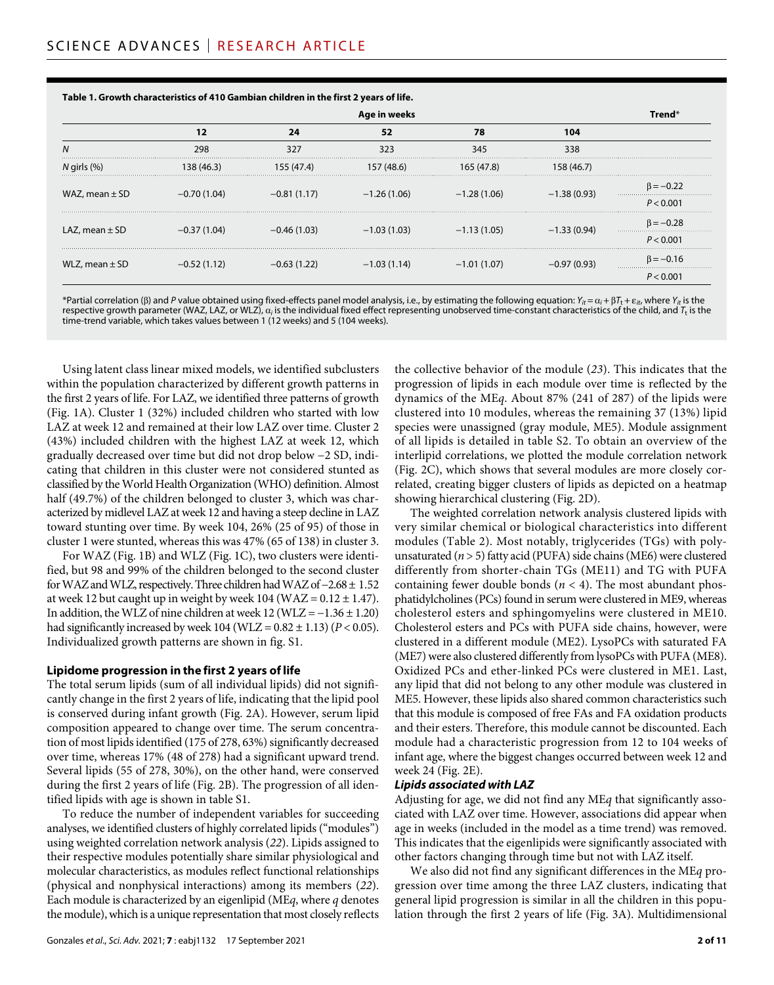|                    | Age in weeks  |               |               |               |               |                 |  |
|--------------------|---------------|---------------|---------------|---------------|---------------|-----------------|--|
|                    | 12            | 24            | 52            | 78            | 104           |                 |  |
| N                  | 298           | 327           | 323           | 345           | 338           |                 |  |
| $N$ girls $(\%)$   | 138 (46.3)    | 155 (47.4)    | 157 (48.6)    | 165 (47.8)    | 158 (46.7)    |                 |  |
| WAZ, mean $\pm$ SD | $-0.70(1.04)$ | $-0.81(1.17)$ | $-1.26(1.06)$ | $-1.28(1.06)$ | $-1.38(0.93)$ | $\beta = -0.22$ |  |
|                    |               |               |               |               |               | P < 0.001       |  |
| LAZ, mean $\pm$ SD | $-0.37(1.04)$ | $-0.46(1.03)$ | $-1.03(1.03)$ | $-1.13(1.05)$ | $-1.33(0.94)$ | $\beta = -0.28$ |  |
|                    |               |               |               |               |               | P < 0.001       |  |
| WLZ, mean $\pm$ SD | $-0.52(1.12)$ | $-0.63(1.22)$ | $-1.03(1.14)$ | $-1.01(1.07)$ | $-0.97(0.93)$ | $\beta = -0.16$ |  |
|                    |               |               |               |               |               | P < 0.001       |  |

**Table 1. Growth characteristics of 410 Gambian children in the first 2 years of life.**

\*Partial correlation ( $\beta$ ) and *P* value obtained using fixed-effects panel model analysis, i.e., by estimating the following equation:  $Y_{it} = \alpha_i + \beta T_t + \varepsilon_{it}$ , where  $Y_{it}$  is the respective growth parameter (WAZ, LAZ, or WLZ),  $a_i$  is the individual fixed effect representing unobserved time-constant characteristics of the child, and *T*<sub>t</sub> is the time-trend variable, which takes values between 1 (12 weeks) and 5 (104 weeks).

Using latent class linear mixed models, we identified subclusters within the population characterized by different growth patterns in the first 2 years of life. For LAZ, we identified three patterns of growth (Fig. 1A). Cluster 1 (32%) included children who started with low LAZ at week 12 and remained at their low LAZ over time. Cluster 2 (43%) included children with the highest LAZ at week 12, which gradually decreased over time but did not drop below −2 SD, indicating that children in this cluster were not considered stunted as classified by the World Health Organization (WHO) definition. Almost half (49.7%) of the children belonged to cluster 3, which was characterized by midlevel LAZ at week 12 and having a steep decline in LAZ toward stunting over time. By week 104, 26% (25 of 95) of those in cluster 1 were stunted, whereas this was 47% (65 of 138) in cluster 3.

For WAZ (Fig. 1B) and WLZ (Fig. 1C), two clusters were identified, but 98 and 99% of the children belonged to the second cluster for WAZ and WLZ, respectively. Three children had WAZ of −2.68 ± 1.52 at week 12 but caught up in weight by week 104 (WAZ =  $0.12 \pm 1.47$ ). In addition, the WLZ of nine children at week  $12$  (WLZ =  $-1.36 \pm 1.20$ ) had significantly increased by week  $104 (WLZ = 0.82 \pm 1.13) (P < 0.05)$ . Individualized growth patterns are shown in fig. S1.

#### **Lipidome progression in the first 2 years oflife**

The total serum lipids (sum of all individual lipids) did not significantly change in the first 2 years of life, indicating that the lipid pool is conserved during infant growth (Fig. 2A). However, serum lipid composition appeared to change over time. The serum concentration of most lipids identified (175 of 278, 63%) significantly decreased over time, whereas 17% (48 of 278) had a significant upward trend. Several lipids (55 of 278, 30%), on the other hand, were conserved during the first 2 years of life (Fig. 2B). The progression of all identified lipids with age is shown in table S1.

To reduce the number of independent variables for succeeding analyses, we identified clusters of highly correlated lipids ("modules") using weighted correlation network analysis (*22*). Lipids assigned to their respective modules potentially share similar physiological and molecular characteristics, as modules reflect functional relationships (physical and nonphysical interactions) among its members (*22*). Each module is characterized by an eigenlipid (ME*q*, where *q* denotes the module), which is a unique representation that most closely reflects

Gonzales *et al*., *Sci. Adv.* 2021; **7** : eabj1132 17 September 2021

the collective behavior of the module (*23*). This indicates that the progression of lipids in each module over time is reflected by the dynamics of the ME*q*. About 87% (241 of 287) of the lipids were clustered into 10 modules, whereas the remaining 37 (13%) lipid species were unassigned (gray module, ME5). Module assignment of all lipids is detailed in table S2. To obtain an overview of the interlipid correlations, we plotted the module correlation network (Fig. 2C), which shows that several modules are more closely correlated, creating bigger clusters of lipids as depicted on a heatmap showing hierarchical clustering (Fig. 2D).

The weighted correlation network analysis clustered lipids with very similar chemical or biological characteristics into different modules (Table 2). Most notably, triglycerides (TGs) with polyunsaturated (*n* > 5) fatty acid (PUFA) side chains (ME6) were clustered differently from shorter-chain TGs (ME11) and TG with PUFA containing fewer double bonds  $(n < 4)$ . The most abundant phosphatidylcholines (PCs) found in serum were clustered in ME9, whereas cholesterol esters and sphingomyelins were clustered in ME10. Cholesterol esters and PCs with PUFA side chains, however, were clustered in a different module (ME2). LysoPCs with saturated FA (ME7) were also clustered differently from lysoPCs with PUFA (ME8). Oxidized PCs and ether-linked PCs were clustered in ME1. Last, any lipid that did not belong to any other module was clustered in ME5. However, these lipids also shared common characteristics such that this module is composed of free FAs and FA oxidation products and their esters. Therefore, this module cannot be discounted. Each module had a characteristic progression from 12 to 104 weeks of infant age, where the biggest changes occurred between week 12 and week 24 (Fig. 2E).

#### *Lipids associated with LAZ*

Adjusting for age, we did not find any ME*q* that significantly associated with LAZ over time. However, associations did appear when age in weeks (included in the model as a time trend) was removed. This indicates that the eigenlipids were significantly associated with other factors changing through time but not with LAZ itself.

We also did not find any significant differences in the ME*q* progression over time among the three LAZ clusters, indicating that general lipid progression is similar in all the children in this population through the first 2 years of life (Fig. 3A). Multidimensional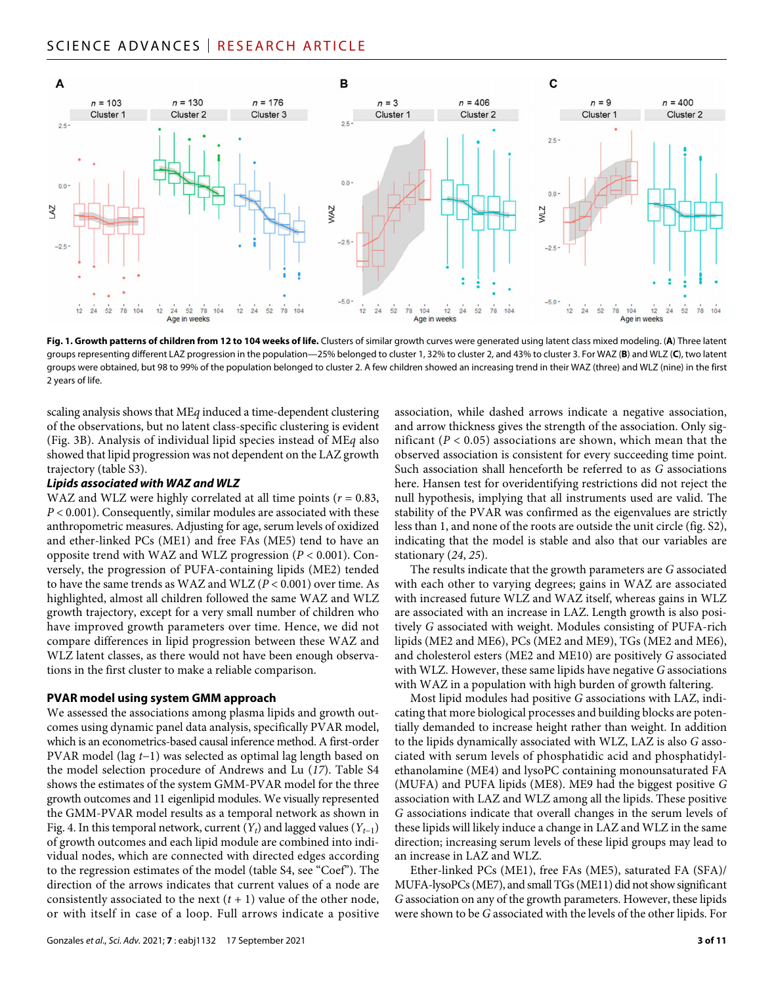# SCIENCE ADVANCES | RESEARCH ARTICLE



**Fig. 1. Growth patterns of children from 12 to 104 weeks of life.** Clusters of similar growth curves were generated using latent class mixed modeling. (**A**) Three latent groups representing different LAZ progression in the population—25% belonged to cluster 1, 32% to cluster 2, and 43% to cluster 3. For WAZ (**B**) and WLZ (**C**), two latent groups were obtained, but 98 to 99% of the population belonged to cluster 2. A few children showed an increasing trend in their WAZ (three) and WLZ (nine) in the first 2 years of life.

scaling analysis shows that ME*q* induced a time-dependent clustering of the observations, but no latent class-specific clustering is evident (Fig. 3B). Analysis of individual lipid species instead of ME*q* also showed that lipid progression was not dependent on the LAZ growth trajectory (table S3).

#### *Lipids associated with WAZ and WLZ*

WAZ and WLZ were highly correlated at all time points (*r* = 0.83, *P* < 0.001). Consequently, similar modules are associated with these anthropometric measures. Adjusting for age, serum levels of oxidized and ether-linked PCs (ME1) and free FAs (ME5) tend to have an opposite trend with WAZ and WLZ progression (*P* < 0.001). Conversely, the progression of PUFA-containing lipids (ME2) tended to have the same trends as WAZ and WLZ (*P* < 0.001) over time. As highlighted, almost all children followed the same WAZ and WLZ growth trajectory, except for a very small number of children who have improved growth parameters over time. Hence, we did not compare differences in lipid progression between these WAZ and WLZ latent classes, as there would not have been enough observations in the first cluster to make a reliable comparison.

#### **PVAR model using system GMM approach**

We assessed the associations among plasma lipids and growth outcomes using dynamic panel data analysis, specifically PVAR model, which is an econometrics-based causal inference method. A first-order PVAR model (lag *t*−1) was selected as optimal lag length based on the model selection procedure of Andrews and Lu (*17*). Table S4 shows the estimates of the system GMM-PVAR model for the three growth outcomes and 11 eigenlipid modules. We visually represented the GMM-PVAR model results as a temporal network as shown in Fig. 4. In this temporal network, current (*Yt*) and lagged values (*Yt*−1) of growth outcomes and each lipid module are combined into individual nodes, which are connected with directed edges according to the regression estimates of the model (table S4, see "Coef"). The direction of the arrows indicates that current values of a node are consistently associated to the next  $(t + 1)$  value of the other node, or with itself in case of a loop. Full arrows indicate a positive

association, while dashed arrows indicate a negative association, and arrow thickness gives the strength of the association. Only significant  $(P < 0.05)$  associations are shown, which mean that the observed association is consistent for every succeeding time point. Such association shall henceforth be referred to as *G* associations here. Hansen test for overidentifying restrictions did not reject the null hypothesis, implying that all instruments used are valid. The stability of the PVAR was confirmed as the eigenvalues are strictly less than 1, and none of the roots are outside the unit circle (fig. S2), indicating that the model is stable and also that our variables are stationary (*24*, *25*).

The results indicate that the growth parameters are *G* associated with each other to varying degrees; gains in WAZ are associated with increased future WLZ and WAZ itself, whereas gains in WLZ are associated with an increase in LAZ. Length growth is also positively *G* associated with weight. Modules consisting of PUFA-rich lipids (ME2 and ME6), PCs (ME2 and ME9), TGs (ME2 and ME6), and cholesterol esters (ME2 and ME10) are positively *G* associated with WLZ. However, these same lipids have negative *G* associations with WAZ in a population with high burden of growth faltering.

Most lipid modules had positive *G* associations with LAZ, indicating that more biological processes and building blocks are potentially demanded to increase height rather than weight. In addition to the lipids dynamically associated with WLZ, LAZ is also *G* associated with serum levels of phosphatidic acid and phosphatidylethanolamine (ME4) and lysoPC containing monounsaturated FA (MUFA) and PUFA lipids (ME8). ME9 had the biggest positive *G* association with LAZ and WLZ among all the lipids. These positive *G* associations indicate that overall changes in the serum levels of these lipids will likely induce a change in LAZ and WLZ in the same direction; increasing serum levels of these lipid groups may lead to an increase in LAZ and WLZ.

Ether-linked PCs (ME1), free FAs (ME5), saturated FA (SFA)/ MUFA-lysoPCs (ME7), and small TGs (ME11) did not show significant *G* association on any of the growth parameters. However, these lipids were shown to be *G* associated with the levels of the other lipids. For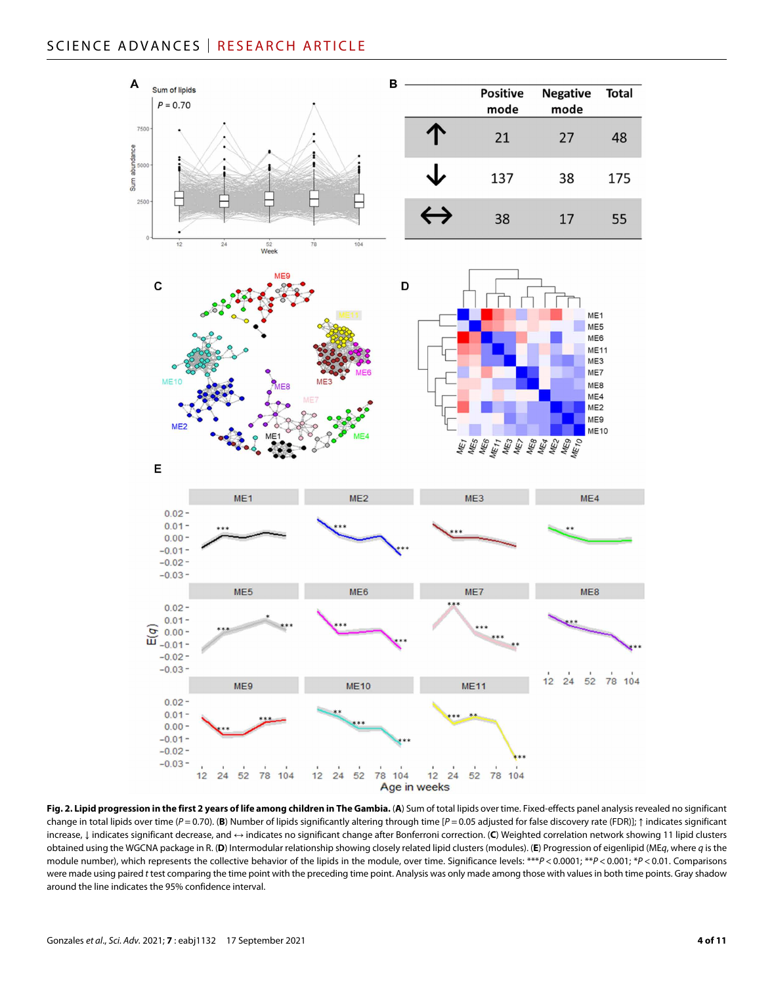# SCIENCE ADVANCES | RESEARCH ARTICLE



Fig. 2. Lipid progression in the first 2 years of life among children in The Gambia. (A) Sum of total lipids over time. Fixed-effects panel analysis revealed no significant change in total lipids over time (*P* = 0.70). (**B**) Number of lipids significantly altering through time [*P* = 0.05 adjusted for false discovery rate (FDR)]; ↑ indicates significant increase, ↓ indicates significant decrease, and ↔ indicates no significant change after Bonferroni correction. (**C**) Weighted correlation network showing 11 lipid clusters obtained using the WGCNA package in R. (**D**) Intermodular relationship showing closely related lipid clusters (modules). (**E**) Progression of eigenlipid (ME*q*, where *q* is the module number), which represents the collective behavior of the lipids in the module, over time. Significance levels: \*\*\**P* < 0.0001; \*\**P* < 0.001; \**P* < 0.01. Comparisons were made using paired *t* test comparing the time point with the preceding time point. Analysis was only made among those with values in both time points. Gray shadow around the line indicates the 95% confidence interval.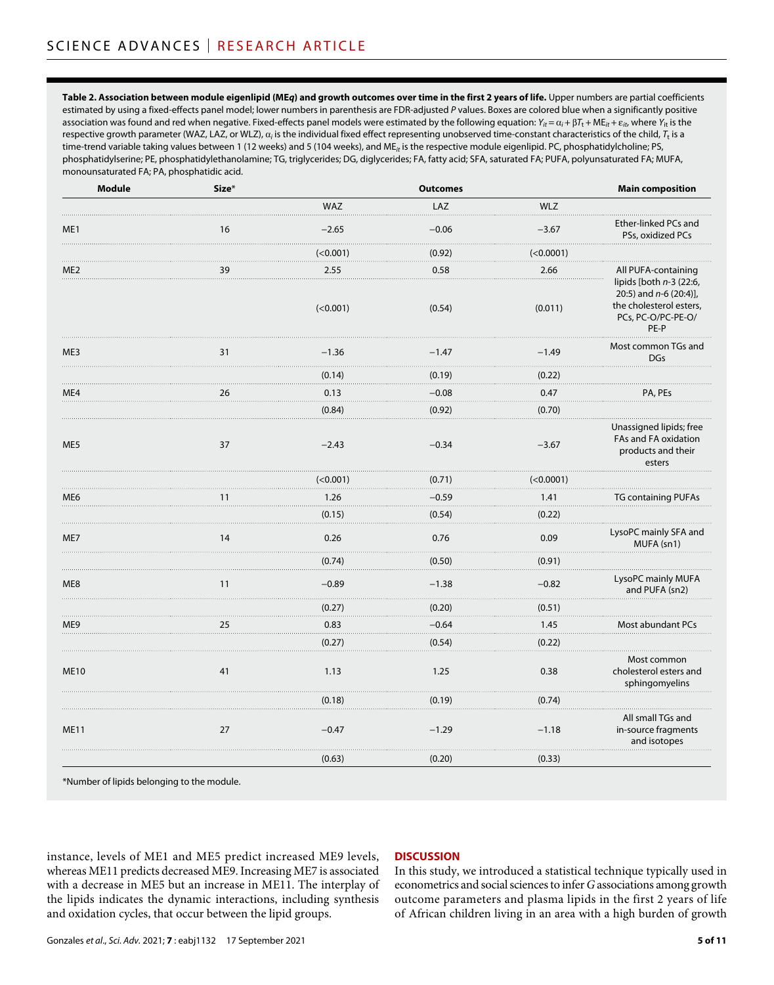**Table 2. Association between module eigenlipid (ME***q***) and growth outcomes over time in the first 2 years of life.** Upper numbers are partial coefficients estimated by using a fixed-effects panel model; lower numbers in parenthesis are FDR-adjusted *P* values. Boxes are colored blue when a significantly positive association was found and red when negative. Fixed-effects panel models were estimated by the following equation:  $Y_{it} = \alpha_i + \beta T_t + M E_{it} + \varepsilon_{it}$ , where  $Y_{it}$  is the respective growth parameter (WAZ, LAZ, or WLZ),  $a_i$  is the individual fixed effect representing unobserved time-constant characteristics of the child,  $T_t$  is a time-trend variable taking values between 1 (12 weeks) and 5 (104 weeks), and ME*it* is the respective module eigenlipid. PC, phosphatidylcholine; PS, phosphatidylserine; PE, phosphatidylethanolamine; TG, triglycerides; DG, diglycerides; FA, fatty acid; SFA, saturated FA; PUFA, polyunsaturated FA; MUFA, monounsaturated FA; PA, phosphatidic acid.

| <b>Module</b>   | Size* |            | <b>Outcomes</b> |             | <b>Main composition</b>                                                                                        |
|-----------------|-------|------------|-----------------|-------------|----------------------------------------------------------------------------------------------------------------|
|                 |       | <b>WAZ</b> | LAZ             | <b>WLZ</b>  |                                                                                                                |
| ME1             | 16    | $-2.65$    | $-0.06$         | $-3.67$     | Ether-linked PCs and<br>PSs, oxidized PCs                                                                      |
|                 |       | (<0.001)   | (0.92)          | (<0.0001)   |                                                                                                                |
| ME <sub>2</sub> | 39    | 2.55       | 0.58            | 2.66        | All PUFA-containing                                                                                            |
|                 |       | (<0.001)   | (0.54)          | (0.011)     | lipids [both $n-3$ (22:6,<br>20:5) and $n-6$ (20:4)],<br>the cholesterol esters,<br>PCs, PC-O/PC-PE-O/<br>PE-P |
| ME3             | 31    | $-1.36$    | $-1.47$<br>.    | $-1.49$     | Most common TGs and<br><b>DGs</b>                                                                              |
|                 |       | (0.14)     | (0.19)          | (0.22)      |                                                                                                                |
| ME4             | 26    | 0.13       | $-0.08$         | 0.47        | PA, PEs                                                                                                        |
|                 |       | (0.84)     | (0.92)          | (0.70)      |                                                                                                                |
| ME5             | 37    | $-2.43$    | $-0.34$         | $-3.67$     | Unassigned lipids; free<br>FAs and FA oxidation<br>products and their<br>esters                                |
|                 |       | (<0.001)   | (0.71)          | ( < 0.0001) |                                                                                                                |
| ME <sub>6</sub> | 11    | 1.26       | $-0.59$         | 1.41        | <b>TG containing PUFAs</b>                                                                                     |
|                 |       | (0.15)     | (0.54)          | (0.22)      |                                                                                                                |
| ME7             | 14    | 0.26       | 0.76            | 0.09        | LysoPC mainly SFA and<br>MUFA (sn1)                                                                            |
|                 |       | (0.74)     | (0.50)          | (0.91)      |                                                                                                                |
| ME8             | 11    | $-0.89$    | $-1.38$         | $-0.82$     | LysoPC mainly MUFA<br>and PUFA (sn2)                                                                           |
|                 |       | (0.27)     | (0.20)          | (0.51)      |                                                                                                                |
| ME9             | 25    | 0.83       | $-0.64$         | 1.45        | Most abundant PCs                                                                                              |
|                 |       | (0.27)     | (0.54)          | (0.22)      |                                                                                                                |
| <b>ME10</b>     | 41    | 1.13       | 1.25            | 0.38        | Most common<br>cholesterol esters and<br>sphingomyelins                                                        |
|                 |       | (0.18)     | (0.19)          | (0.74)      |                                                                                                                |
| <b>ME11</b>     | 27    | $-0.47$    | $-1.29$         | $-1.18$     | All small TGs and<br>in-source fragments<br>and isotopes                                                       |
|                 |       | (0.63)     | (0.20)          | (0.33)      |                                                                                                                |
|                 |       |            |                 |             |                                                                                                                |

\*Number of lipids belonging to the module.

instance, levels of ME1 and ME5 predict increased ME9 levels, whereas ME11 predicts decreased ME9. Increasing ME7 is associated with a decrease in ME5 but an increase in ME11. The interplay of the lipids indicates the dynamic interactions, including synthesis and oxidation cycles, that occur between the lipid groups.

#### **DISCUSSION**

In this study, we introduced a statistical technique typically used in econometrics and social sciences to infer *G* associations among growth outcome parameters and plasma lipids in the first 2 years of life of African children living in an area with a high burden of growth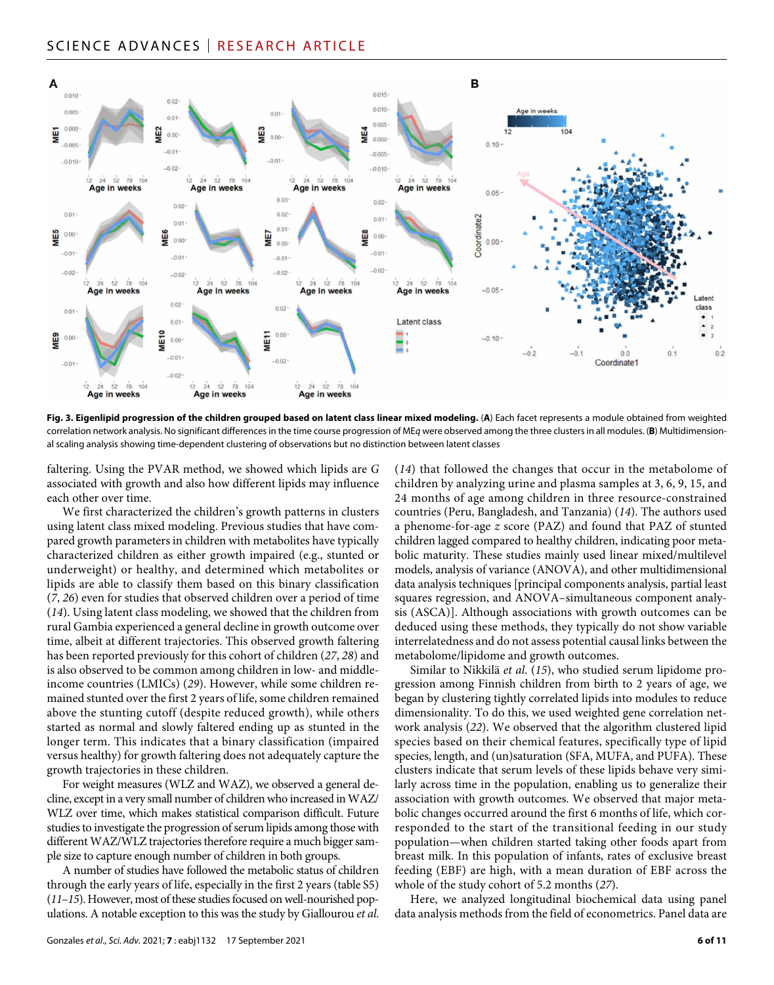## SCIENCE ADVANCES | RESEARCH ARTICLE



**Fig. 3. Eigenlipid progression of the children grouped based on latent class linear mixed modeling.** (**A**) Each facet represents a module obtained from weighted correlation network analysis. No significant differences in the time course progression of ME*q* were observed among the three clusters in all modules. (**B**) Multidimensional scaling analysis showing time-dependent clustering of observations but no distinction between latent classes

faltering. Using the PVAR method, we showed which lipids are *G* associated with growth and also how different lipids may influence each other over time.

We first characterized the children's growth patterns in clusters using latent class mixed modeling. Previous studies that have compared growth parameters in children with metabolites have typically characterized children as either growth impaired (e.g., stunted or underweight) or healthy, and determined which metabolites or lipids are able to classify them based on this binary classification (*7*, *26*) even for studies that observed children over a period of time (*14*). Using latent class modeling, we showed that the children from rural Gambia experienced a general decline in growth outcome over time, albeit at different trajectories. This observed growth faltering has been reported previously for this cohort of children (*27*, *28*) and is also observed to be common among children in low- and middleincome countries (LMICs) (*29*). However, while some children remained stunted over the first 2 years of life, some children remained above the stunting cutoff (despite reduced growth), while others started as normal and slowly faltered ending up as stunted in the longer term. This indicates that a binary classification (impaired versus healthy) for growth faltering does not adequately capture the growth trajectories in these children.

For weight measures (WLZ and WAZ), we observed a general decline, except in a very small number of children who increased in WAZ/ WLZ over time, which makes statistical comparison difficult. Future studies to investigate the progression of serum lipids among those with different WAZ/WLZ trajectories therefore require a much bigger sample size to capture enough number of children in both groups.

A number of studies have followed the metabolic status of children through the early years of life, especially in the first 2 years (table S5) (*11*–*15*). However, most of these studies focused on well-nourished populations. A notable exception to this was the study by Giallourou *et al*. (*14*) that followed the changes that occur in the metabolome of children by analyzing urine and plasma samples at 3, 6, 9, 15, and 24 months of age among children in three resource-constrained countries (Peru, Bangladesh, and Tanzania) (*14*). The authors used a phenome-for-age *z* score (PAZ) and found that PAZ of stunted children lagged compared to healthy children, indicating poor metabolic maturity. These studies mainly used linear mixed/multilevel models, analysis of variance (ANOVA), and other multidimensional data analysis techniques [principal components analysis, partial least squares regression, and ANOVA–simultaneous component analysis (ASCA)]. Although associations with growth outcomes can be deduced using these methods, they typically do not show variable interrelatedness and do not assess potential causal links between the metabolome/lipidome and growth outcomes.

Similar to Nikkilä *et al*. (*15*), who studied serum lipidome progression among Finnish children from birth to 2 years of age, we began by clustering tightly correlated lipids into modules to reduce dimensionality. To do this, we used weighted gene correlation network analysis (*22*). We observed that the algorithm clustered lipid species based on their chemical features, specifically type of lipid species, length, and (un)saturation (SFA, MUFA, and PUFA). These clusters indicate that serum levels of these lipids behave very similarly across time in the population, enabling us to generalize their association with growth outcomes. We observed that major metabolic changes occurred around the first 6 months of life, which corresponded to the start of the transitional feeding in our study population—when children started taking other foods apart from breast milk. In this population of infants, rates of exclusive breast feeding (EBF) are high, with a mean duration of EBF across the whole of the study cohort of 5.2 months (*27*).

Here, we analyzed longitudinal biochemical data using panel data analysis methods from the field of econometrics. Panel data are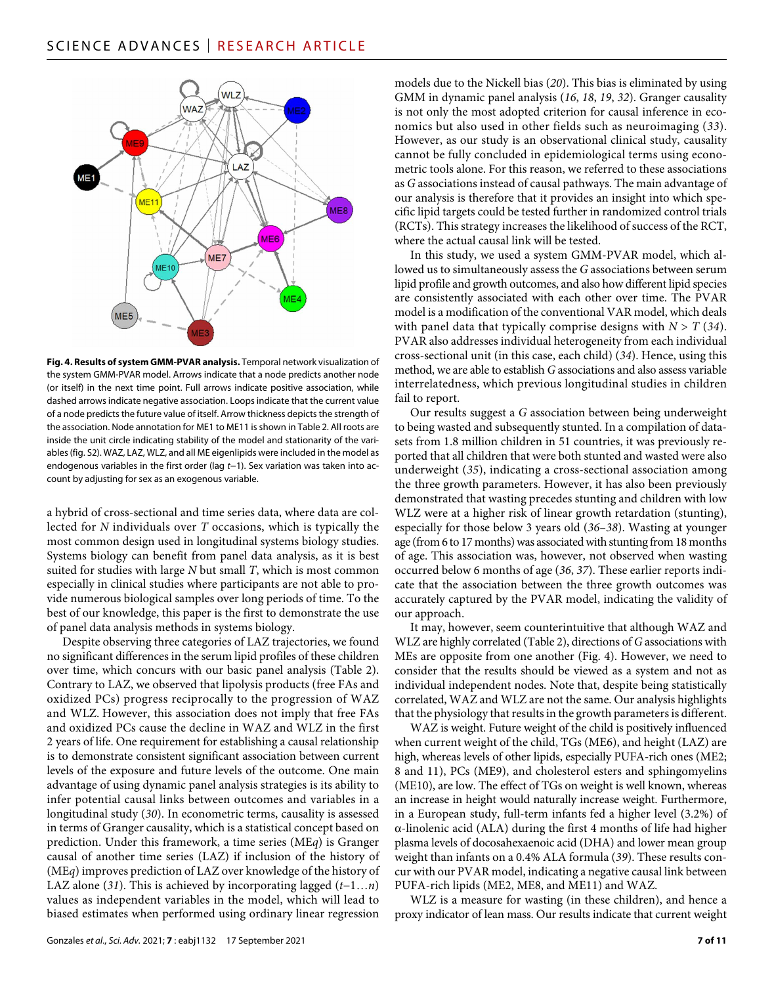

**Fig. 4. Results of system GMM-PVAR analysis.** Temporal network visualization of the system GMM-PVAR model. Arrows indicate that a node predicts another node (or itself) in the next time point. Full arrows indicate positive association, while dashed arrows indicate negative association. Loops indicate that the current value of a node predicts the future value of itself. Arrow thickness depicts the strength of the association. Node annotation for ME1 to ME11 is shown in Table 2. All roots are inside the unit circle indicating stability of the model and stationarity of the variables (fig. S2). WAZ, LAZ, WLZ, and all ME eigenlipids were included in the model as endogenous variables in the first order (lag *t*−1). Sex variation was taken into account by adjusting for sex as an exogenous variable.

a hybrid of cross-sectional and time series data, where data are collected for *N* individuals over *T* occasions, which is typically the most common design used in longitudinal systems biology studies. Systems biology can benefit from panel data analysis, as it is best suited for studies with large *N* but small *T*, which is most common especially in clinical studies where participants are not able to provide numerous biological samples over long periods of time. To the best of our knowledge, this paper is the first to demonstrate the use of panel data analysis methods in systems biology.

Despite observing three categories of LAZ trajectories, we found no significant differences in the serum lipid profiles of these children over time, which concurs with our basic panel analysis (Table 2). Contrary to LAZ, we observed that lipolysis products (free FAs and oxidized PCs) progress reciprocally to the progression of WAZ and WLZ. However, this association does not imply that free FAs and oxidized PCs cause the decline in WAZ and WLZ in the first 2 years of life. One requirement for establishing a causal relationship is to demonstrate consistent significant association between current levels of the exposure and future levels of the outcome. One main advantage of using dynamic panel analysis strategies is its ability to infer potential causal links between outcomes and variables in a longitudinal study (*30*). In econometric terms, causality is assessed in terms of Granger causality, which is a statistical concept based on prediction. Under this framework, a time series (ME*q*) is Granger causal of another time series (LAZ) if inclusion of the history of (ME*q*) improves prediction of LAZ over knowledge of the history of LAZ alone (*31*). This is achieved by incorporating lagged (*t*−1…*n*) values as independent variables in the model, which will lead to biased estimates when performed using ordinary linear regression

models due to the Nickell bias (*20*). This bias is eliminated by using GMM in dynamic panel analysis (*16*, *18*, *19*, *32*). Granger causality is not only the most adopted criterion for causal inference in economics but also used in other fields such as neuroimaging (*33*). However, as our study is an observational clinical study, causality cannot be fully concluded in epidemiological terms using econometric tools alone. For this reason, we referred to these associations as *G* associations instead of causal pathways. The main advantage of our analysis is therefore that it provides an insight into which specific lipid targets could be tested further in randomized control trials (RCTs). This strategy increases the likelihood of success of the RCT, where the actual causal link will be tested.

In this study, we used a system GMM-PVAR model, which allowed us to simultaneously assess the *G* associations between serum lipid profile and growth outcomes, and also how different lipid species are consistently associated with each other over time. The PVAR model is a modification of the conventional VAR model, which deals with panel data that typically comprise designs with  $N > T(34)$ . PVAR also addresses individual heterogeneity from each individual cross-sectional unit (in this case, each child) (*34*). Hence, using this method, we are able to establish *G* associations and also assess variable interrelatedness, which previous longitudinal studies in children fail to report.

Our results suggest a *G* association between being underweight to being wasted and subsequently stunted. In a compilation of datasets from 1.8 million children in 51 countries, it was previously reported that all children that were both stunted and wasted were also underweight (*35*), indicating a cross-sectional association among the three growth parameters. However, it has also been previously demonstrated that wasting precedes stunting and children with low WLZ were at a higher risk of linear growth retardation (stunting), especially for those below 3 years old (*36*–*38*). Wasting at younger age (from 6 to 17 months) was associated with stunting from 18 months of age. This association was, however, not observed when wasting occurred below 6 months of age (*36*, *37*). These earlier reports indicate that the association between the three growth outcomes was accurately captured by the PVAR model, indicating the validity of our approach.

It may, however, seem counterintuitive that although WAZ and WLZ are highly correlated (Table 2), directions of *G* associations with MEs are opposite from one another (Fig. 4). However, we need to consider that the results should be viewed as a system and not as individual independent nodes. Note that, despite being statistically correlated, WAZ and WLZ are not the same. Our analysis highlights that the physiology that results in the growth parameters is different.

WAZ is weight. Future weight of the child is positively influenced when current weight of the child, TGs (ME6), and height (LAZ) are high, whereas levels of other lipids, especially PUFA-rich ones (ME2; 8 and 11), PCs (ME9), and cholesterol esters and sphingomyelins (ME10), are low. The effect of TGs on weight is well known, whereas an increase in height would naturally increase weight. Furthermore, in a European study, full-term infants fed a higher level (3.2%) of  $\alpha$ -linolenic acid (ALA) during the first 4 months of life had higher plasma levels of docosahexaenoic acid (DHA) and lower mean group weight than infants on a 0.4% ALA formula (*39*). These results concur with our PVAR model, indicating a negative causal link between PUFA-rich lipids (ME2, ME8, and ME11) and WAZ.

WLZ is a measure for wasting (in these children), and hence a proxy indicator of lean mass. Our results indicate that current weight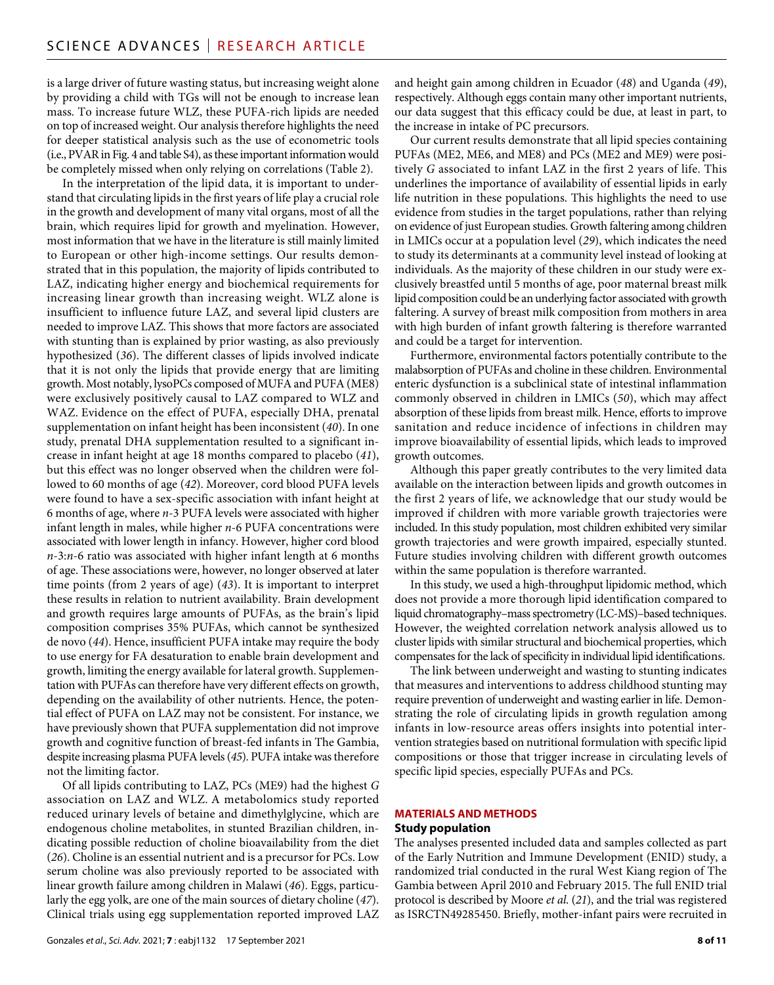is a large driver of future wasting status, but increasing weight alone by providing a child with TGs will not be enough to increase lean mass. To increase future WLZ, these PUFA-rich lipids are needed on top of increased weight. Our analysis therefore highlights the need for deeper statistical analysis such as the use of econometric tools (i.e., PVAR in Fig. 4 and table S4), as these important information would be completely missed when only relying on correlations (Table 2).

In the interpretation of the lipid data, it is important to understand that circulating lipids in the first years of life play a crucial role in the growth and development of many vital organs, most of all the brain, which requires lipid for growth and myelination. However, most information that we have in the literature is still mainly limited to European or other high-income settings. Our results demonstrated that in this population, the majority of lipids contributed to LAZ, indicating higher energy and biochemical requirements for increasing linear growth than increasing weight. WLZ alone is insufficient to influence future LAZ, and several lipid clusters are needed to improve LAZ. This shows that more factors are associated with stunting than is explained by prior wasting, as also previously hypothesized (*36*). The different classes of lipids involved indicate that it is not only the lipids that provide energy that are limiting growth. Most notably, lysoPCs composed of MUFA and PUFA (ME8) were exclusively positively causal to LAZ compared to WLZ and WAZ. Evidence on the effect of PUFA, especially DHA, prenatal supplementation on infant height has been inconsistent (*40*). In one study, prenatal DHA supplementation resulted to a significant increase in infant height at age 18 months compared to placebo (*41*), but this effect was no longer observed when the children were followed to 60 months of age (*42*). Moreover, cord blood PUFA levels were found to have a sex-specific association with infant height at 6 months of age, where *n*-3 PUFA levels were associated with higher infant length in males, while higher *n*-6 PUFA concentrations were associated with lower length in infancy. However, higher cord blood *n*-3:*n*-6 ratio was associated with higher infant length at 6 months of age. These associations were, however, no longer observed at later time points (from 2 years of age) (*43*). It is important to interpret these results in relation to nutrient availability. Brain development and growth requires large amounts of PUFAs, as the brain's lipid composition comprises 35% PUFAs, which cannot be synthesized de novo (*44*). Hence, insufficient PUFA intake may require the body to use energy for FA desaturation to enable brain development and growth, limiting the energy available for lateral growth. Supplementation with PUFAs can therefore have very different effects on growth, depending on the availability of other nutrients. Hence, the potential effect of PUFA on LAZ may not be consistent. For instance, we have previously shown that PUFA supplementation did not improve growth and cognitive function of breast-fed infants in The Gambia, despite increasing plasma PUFA levels (*45*). PUFA intake was therefore not the limiting factor.

Of all lipids contributing to LAZ, PCs (ME9) had the highest *G* association on LAZ and WLZ. A metabolomics study reported reduced urinary levels of betaine and dimethylglycine, which are endogenous choline metabolites, in stunted Brazilian children, indicating possible reduction of choline bioavailability from the diet (*26*). Choline is an essential nutrient and is a precursor for PCs. Low serum choline was also previously reported to be associated with linear growth failure among children in Malawi (*46*). Eggs, particularly the egg yolk, are one of the main sources of dietary choline (*47*). Clinical trials using egg supplementation reported improved LAZ

and height gain among children in Ecuador (*48*) and Uganda (*49*), respectively. Although eggs contain many other important nutrients, our data suggest that this efficacy could be due, at least in part, to the increase in intake of PC precursors.

Our current results demonstrate that all lipid species containing PUFAs (ME2, ME6, and ME8) and PCs (ME2 and ME9) were positively *G* associated to infant LAZ in the first 2 years of life. This underlines the importance of availability of essential lipids in early life nutrition in these populations. This highlights the need to use evidence from studies in the target populations, rather than relying on evidence of just European studies. Growth faltering among children in LMICs occur at a population level (*29*), which indicates the need to study its determinants at a community level instead of looking at individuals. As the majority of these children in our study were exclusively breastfed until 5 months of age, poor maternal breast milk lipid composition could be an underlying factor associated with growth faltering. A survey of breast milk composition from mothers in area with high burden of infant growth faltering is therefore warranted and could be a target for intervention.

Furthermore, environmental factors potentially contribute to the malabsorption of PUFAs and choline in these children. Environmental enteric dysfunction is a subclinical state of intestinal inflammation commonly observed in children in LMICs (*50*), which may affect absorption of these lipids from breast milk. Hence, efforts to improve sanitation and reduce incidence of infections in children may improve bioavailability of essential lipids, which leads to improved growth outcomes.

Although this paper greatly contributes to the very limited data available on the interaction between lipids and growth outcomes in the first 2 years of life, we acknowledge that our study would be improved if children with more variable growth trajectories were included. In this study population, most children exhibited very similar growth trajectories and were growth impaired, especially stunted. Future studies involving children with different growth outcomes within the same population is therefore warranted.

In this study, we used a high-throughput lipidomic method, which does not provide a more thorough lipid identification compared to liquid chromatography–mass spectrometry (LC-MS)–based techniques. However, the weighted correlation network analysis allowed us to cluster lipids with similar structural and biochemical properties, which compensates for the lack of specificity in individual lipid identifications.

The link between underweight and wasting to stunting indicates that measures and interventions to address childhood stunting may require prevention of underweight and wasting earlier in life. Demonstrating the role of circulating lipids in growth regulation among infants in low-resource areas offers insights into potential intervention strategies based on nutritional formulation with specific lipid compositions or those that trigger increase in circulating levels of specific lipid species, especially PUFAs and PCs.

#### **MATERIALS AND METHODS**

#### **Study population**

The analyses presented included data and samples collected as part of the Early Nutrition and Immune Development (ENID) study, a randomized trial conducted in the rural West Kiang region of The Gambia between April 2010 and February 2015. The full ENID trial protocol is described by Moore *et al*. (*21*), and the trial was registered as ISRCTN49285450. Briefly, mother-infant pairs were recruited in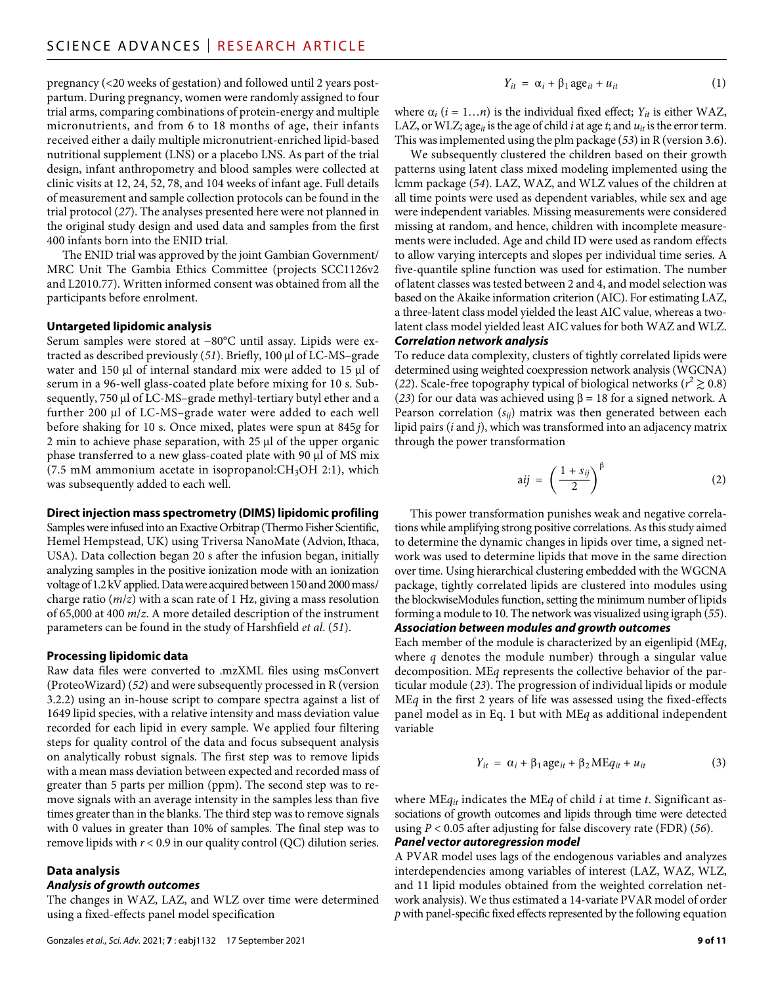pregnancy (<20 weeks of gestation) and followed until 2 years postpartum. During pregnancy, women were randomly assigned to four trial arms, comparing combinations of protein-energy and multiple micronutrients, and from 6 to 18 months of age, their infants received either a daily multiple micronutrient-enriched lipid-based nutritional supplement (LNS) or a placebo LNS. As part of the trial design, infant anthropometry and blood samples were collected at clinic visits at 12, 24, 52, 78, and 104 weeks of infant age. Full details of measurement and sample collection protocols can be found in the trial protocol (*27*). The analyses presented here were not planned in the original study design and used data and samples from the first 400 infants born into the ENID trial.

The ENID trial was approved by the joint Gambian Government/ MRC Unit The Gambia Ethics Committee (projects SCC1126v2 and L2010.77). Written informed consent was obtained from all the participants before enrolment.

#### **Untargeted lipidomic analysis**

Serum samples were stored at −80°C until assay. Lipids were extracted as described previously (51). Briefly, 100 µl of LC-MS-grade water and 150  $\mu$ l of internal standard mix were added to 15  $\mu$ l of serum in a 96-well glass-coated plate before mixing for 10 s. Subsequently, 750 µl of LC-MS-grade methyl-tertiary butyl ether and a further 200 µl of LC-MS–grade water were added to each well before shaking for 10 s. Once mixed, plates were spun at 845*g* for  $2$  min to achieve phase separation, with  $25 \mu$  of the upper organic phase transferred to a new glass-coated plate with 90 µl of MS mix (7.5 mM ammonium acetate in isopropanol: $CH<sub>3</sub>OH$  2:1), which was subsequently added to each well.

#### **Direct injection mass spectrometry (DIMS) lipidomic profiling**

Samples were infused into an Exactive Orbitrap (Thermo Fisher Scientific, Hemel Hempstead, UK) using Triversa NanoMate (Advion, Ithaca, USA). Data collection began 20 s after the infusion began, initially analyzing samples in the positive ionization mode with an ionization voltage of 1.2 kV applied. Data were acquired between 150 and 2000 mass/ charge ratio (*m*/*z*) with a scan rate of 1 Hz, giving a mass resolution of 65,000 at 400 *m*/*z*. A more detailed description of the instrument parameters can be found in the study of Harshfield *et al*. (*51*).

#### **Processing lipidomic data**

Raw data files were converted to .mzXML files using msConvert (ProteoWizard) (*52*) and were subsequently processed in R (version 3.2.2) using an in-house script to compare spectra against a list of 1649 lipid species, with a relative intensity and mass deviation value recorded for each lipid in every sample. We applied four filtering steps for quality control of the data and focus subsequent analysis on analytically robust signals. The first step was to remove lipids with a mean mass deviation between expected and recorded mass of greater than 5 parts per million (ppm). The second step was to remove signals with an average intensity in the samples less than five times greater than in the blanks. The third step was to remove signals with 0 values in greater than 10% of samples. The final step was to remove lipids with  $r < 0.9$  in our quality control (QC) dilution series.

# **Data analysis**

#### *Analysis of growth outcomes*

The changes in WAZ, LAZ, and WLZ over time were determined using a fixed-effects panel model specification

$$
Y_{it} = \alpha_i + \beta_1 \text{age}_{it} + u_{it} \tag{1}
$$

where  $\alpha_i$  ( $i = 1...n$ ) is the individual fixed effect;  $Y_{it}$  is either WAZ, LAZ, or WLZ; age<sub>it</sub> is the age of child  $i$  at age  $t$ ; and  $u_{it}$  is the error term. This was implemented using the plm package (*53*) in R (version 3.6).

We subsequently clustered the children based on their growth patterns using latent class mixed modeling implemented using the lcmm package (*54*). LAZ, WAZ, and WLZ values of the children at all time points were used as dependent variables, while sex and age were independent variables. Missing measurements were considered missing at random, and hence, children with incomplete measurements were included. Age and child ID were used as random effects to allow varying intercepts and slopes per individual time series. A five-quantile spline function was used for estimation. The number of latent classes was tested between 2 and 4, and model selection was based on the Akaike information criterion (AIC). For estimating LAZ, a three-latent class model yielded the least AIC value, whereas a twolatent class model yielded least AIC values for both WAZ and WLZ.

#### *Correlation network analysis*

To reduce data complexity, clusters of tightly correlated lipids were determined using weighted coexpression network analysis (WGCNA) (22). Scale-free topography typical of biological networks ( $r^2 \gtrsim 0.8$ ) (23) for our data was achieved using  $\beta = 18$  for a signed network. A Pearson correlation (*sij*) matrix was then generated between each lipid pairs (*i* and *j*), which was transformed into an adjacency matrix through the power transformation

$$
aij = \left(\frac{1+s_{ij}}{2}\right)^{\beta} \tag{2}
$$

This power transformation punishes weak and negative correlations while amplifying strong positive correlations. As this study aimed to determine the dynamic changes in lipids over time, a signed network was used to determine lipids that move in the same direction over time. Using hierarchical clustering embedded with the WGCNA package, tightly correlated lipids are clustered into modules using the blockwiseModules function, setting the minimum number of lipids forming a module to 10. The network was visualized using igraph (*55*). *Association between modules and growth outcomes*

Each member of the module is characterized by an eigenlipid (ME*q*, where *q* denotes the module number) through a singular value decomposition. ME*q* represents the collective behavior of the particular module (*23*). The progression of individual lipids or module ME*q* in the first 2 years of life was assessed using the fixed-effects panel model as in Eq. 1 but with ME*q* as additional independent variable

$$
Y_{it} = \alpha_i + \beta_1 age_{it} + \beta_2 MEq_{it} + u_{it}
$$
 (3)

where ME*qit* indicates the ME*q* of child *i* at time *t*. Significant associations of growth outcomes and lipids through time were detected using *P* < 0.05 after adjusting for false discovery rate (FDR) (*56*).

#### *Panel vector autoregression model*

A PVAR model uses lags of the endogenous variables and analyzes interdependencies among variables of interest (LAZ, WAZ, WLZ, and 11 lipid modules obtained from the weighted correlation network analysis). We thus estimated a 14-variate PVAR model of order *p* with panel-specific fixed effects represented by the following equation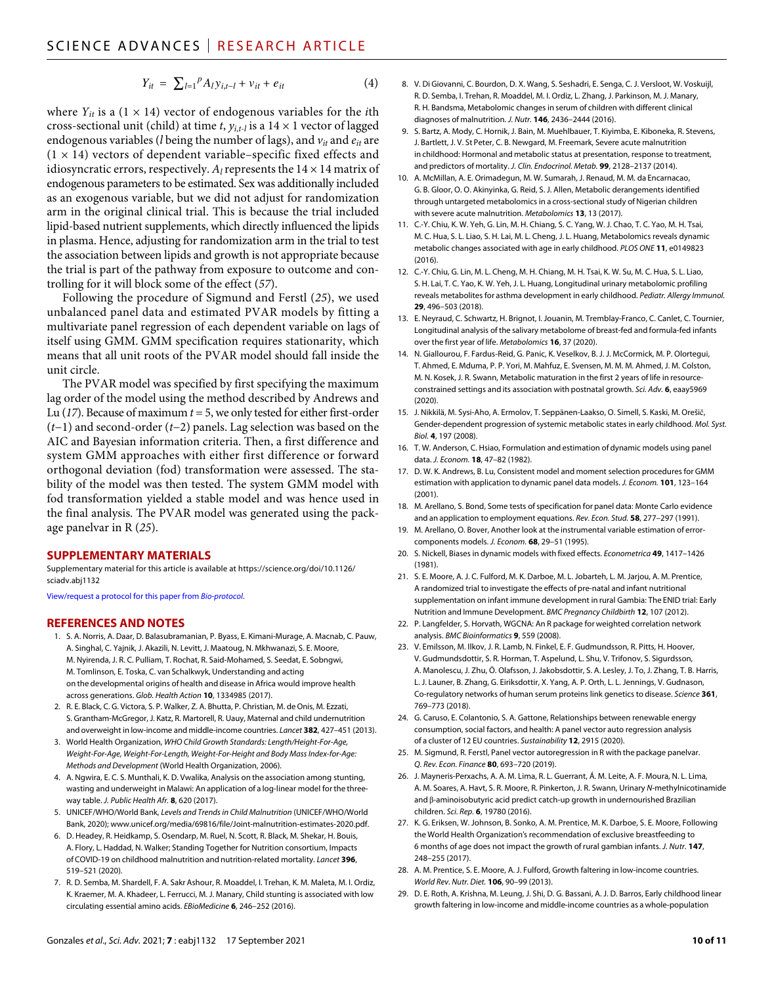$$
Y_{it} = \sum_{l=1}^{P} A_{l} y_{i,t-l} + v_{it} + e_{it}
$$
 (4)

where  $Y_{it}$  is a (1  $\times$  14) vector of endogenous variables for the *i*th cross-sectional unit (child) at time *t*,  $y_{i,t-l}$  is a 14  $\times$  1 vector of lagged endogenous variables (*l* being the number of lags), and *vit* and *eit* are  $(1 \times 14)$  vectors of dependent variable–specific fixed effects and idiosyncratic errors, respectively.  $A_l$  represents the  $14 \times 14$  matrix of endogenous parameters to be estimated. Sex was additionally included as an exogenous variable, but we did not adjust for randomization arm in the original clinical trial. This is because the trial included lipid-based nutrient supplements, which directly influenced the lipids in plasma. Hence, adjusting for randomization arm in the trial to test the association between lipids and growth is not appropriate because the trial is part of the pathway from exposure to outcome and controlling for it will block some of the effect (*57*).

Following the procedure of Sigmund and Ferstl (*25*), we used unbalanced panel data and estimated PVAR models by fitting a multivariate panel regression of each dependent variable on lags of itself using GMM. GMM specification requires stationarity, which means that all unit roots of the PVAR model should fall inside the unit circle.

The PVAR model was specified by first specifying the maximum lag order of the model using the method described by Andrews and Lu (*17*). Because of maximum *t* = 5, we only tested for either first-order (*t*−1) and second-order (*t*−2) panels. Lag selection was based on the AIC and Bayesian information criteria. Then, a first difference and system GMM approaches with either first difference or forward orthogonal deviation (fod) transformation were assessed. The stability of the model was then tested. The system GMM model with fod transformation yielded a stable model and was hence used in the final analysis. The PVAR model was generated using the package panelvar in R (*25*).

#### **SUPPLEMENTARY MATERIALS**

Supplementary material for this article is available at [https://science.org/doi/10.1126/](https://science.org/doi/10.1126/sciadv.abj1132) [sciadv.abj1132](https://science.org/doi/10.1126/sciadv.abj1132)

[View/request a protocol for this paper from](https://en.bio-protocol.org/cjrap.aspx?eid=10.1126/sciadv.abj1132) *Bio-protocol*.

#### **REFERENCES AND NOTES**

- 1. S. A. Norris, A. Daar, D. Balasubramanian, P. Byass, E. Kimani-Murage, A. Macnab, C. Pauw, A. Singhal, C. Yajnik, J. Akazili, N. Levitt, J. Maatoug, N. Mkhwanazi, S. E. Moore, M. Nyirenda, J. R. C. Pulliam, T. Rochat, R. Said-Mohamed, S. Seedat, E. Sobngwi, M. Tomlinson, E. Toska, C. van Schalkwyk, Understanding and acting on the developmental origins of health and disease in Africa would improve health across generations. *Glob. Health Action* **10**, 1334985 (2017).
- 2. R. E. Black, C. G. Victora, S. P. Walker, Z. A. Bhutta, P. Christian, M. de Onis, M. Ezzati, S. Grantham-McGregor, J. Katz, R. Martorell, R. Uauy, Maternal and child undernutrition and overweight in low-income and middle-income countries. *Lancet* **382**, 427–451 (2013).
- 3. World Health Organization, *WHO Child Growth Standards: Length/Height-For-Age, Weight-For-Age, Weight-For-Length, Weight-For-Height and Body Mass Index-for-Age: Methods and Development* (World Health Organization, 2006).
- 4. A. Ngwira, E. C. S. Munthali, K. D. Vwalika, Analysis on the association among stunting, wasting and underweight in Malawi: An application of a log-linear model for the threeway table. *J. Public Health Afr.* **8**, 620 (2017).
- 5. UNICEF/WHO/World Bank, *Levels and Trends in Child Malnutrition* (UNICEF/WHO/World Bank, 2020); [www.unicef.org/media/69816/file/Joint-malnutrition-estimates-2020.pdf](http://www.unicef.org/media/69816/file/Joint-malnutrition-estimates-2020.pdf).
- 6. D. Headey, R. Heidkamp, S. Osendarp, M. Ruel, N. Scott, R. Black, M. Shekar, H. Bouis, A. Flory, L. Haddad, N. Walker; Standing Together for Nutrition consortium, Impacts of COVID-19 on childhood malnutrition and nutrition-related mortality. *Lancet* **396**, 519–521 (2020).
- 7. R. D. Semba, M. Shardell, F. A. Sakr Ashour, R. Moaddel, I. Trehan, K. M. Maleta, M. I. Ordiz, K. Kraemer, M. A. Khadeer, L. Ferrucci, M. J. Manary, Child stunting is associated with low circulating essential amino acids. *EBioMedicine* **6**, 246–252 (2016).
- 8. V. Di Giovanni, C. Bourdon, D. X. Wang, S. Seshadri, E. Senga, C. J. Versloot, W. Voskuijl, R. D. Semba, I. Trehan, R. Moaddel, M. I. Ordiz, L. Zhang, J. Parkinson, M. J. Manary, R. H. Bandsma, Metabolomic changes in serum of children with different clinical diagnoses of malnutrition. *J. Nutr.* **146**, 2436–2444 (2016).
- 9. S. Bartz, A. Mody, C. Hornik, J. Bain, M. Muehlbauer, T. Kiyimba, E. Kiboneka, R. Stevens, J. Bartlett, J. V. St Peter, C. B. Newgard, M. Freemark, Severe acute malnutrition in childhood: Hormonal and metabolic status at presentation, response to treatment, and predictors of mortality. *J. Clin. Endocrinol. Metab.* **99**, 2128–2137 (2014).
- 10. A. McMillan, A. E. Orimadegun, M. W. Sumarah, J. Renaud, M. M. da Encarnacao, G. B. Gloor, O. O. Akinyinka, G. Reid, S. J. Allen, Metabolic derangements identified through untargeted metabolomics in a cross-sectional study of Nigerian children with severe acute malnutrition. *Metabolomics* **13**, 13 (2017).
- 11. C.-Y. Chiu, K. W. Yeh, G. Lin, M. H. Chiang, S. C. Yang, W. J. Chao, T. C. Yao, M. H. Tsai, M. C. Hua, S. L. Liao, S. H. Lai, M. L. Cheng, J. L. Huang, Metabolomics reveals dynamic metabolic changes associated with age in early childhood. *PLOS ONE* **11**, e0149823  $(2016)$
- 12. C.-Y. Chiu, G. Lin, M. L. Cheng, M. H. Chiang, M. H. Tsai, K. W. Su, M. C. Hua, S. L. Liao, S. H. Lai, T. C. Yao, K. W. Yeh, J. L. Huang, Longitudinal urinary metabolomic profiling reveals metabolites for asthma development in early childhood. *Pediatr. Allergy Immunol.* **29**, 496–503 (2018).
- 13. E. Neyraud, C. Schwartz, H. Brignot, I. Jouanin, M. Tremblay-Franco, C. Canlet, C. Tournier, Longitudinal analysis of the salivary metabolome of breast-fed and formula-fed infants over the first year of life. *Metabolomics* **16**, 37 (2020).
- 14. N. Giallourou, F. Fardus-Reid, G. Panic, K. Veselkov, B. J. J. McCormick, M. P. Olortegui, T. Ahmed, E. Mduma, P. P. Yori, M. Mahfuz, E. Svensen, M. M. M. Ahmed, J. M. Colston, M. N. Kosek, J. R. Swann, Metabolic maturation in the first 2 years of life in resourceconstrained settings and its association with postnatal growth. *Sci. Adv.* **6**, eaay5969 (2020).
- 15. J. Nikkilä, M. Sysi-Aho, A. Ermolov, T. Seppänen-Laakso, O. Simell, S. Kaski, M. Orešič, Gender-dependent progression ofsystemic metabolic states in early childhood. *Mol. Syst. Biol.* **4**, 197 (2008).
- 16. T. W. Anderson, C. Hsiao, Formulation and estimation of dynamic models using panel data. *J. Econom.* **18**, 47–82 (1982).
- 17. D. W. K. Andrews, B. Lu, Consistent model and moment selection procedures for GMM estimation with application to dynamic panel data models. *J. Econom.* **101**, 123–164 (2001).
- 18. M. Arellano, S. Bond, Some tests ofspecification for panel data: Monte Carlo evidence and an application to employment equations. *Rev. Econ. Stud.* **58**, 277–297 (1991).
- 19. M. Arellano, O. Bover, Another look at the instrumental variable estimation of errorcomponents models. *J. Econom.* **68**, 29–51 (1995).
- 20. S. Nickell, Biases in dynamic models with fixed effects. *Econometrica* **49**, 1417–1426 (1981).
- 21. S. E. Moore, A. J. C. Fulford, M. K. Darboe, M. L. Jobarteh, L. M. Jarjou, A. M. Prentice, A randomized trial to investigate the effects of pre-natal and infant nutritional supplementation on infant immune development in rural Gambia: The ENID trial: Early Nutrition and Immune Development. *BMC Pregnancy Childbirth* **12**, 107 (2012).
- 22. P. Langfelder, S. Horvath, WGCNA: An R package for weighted correlation network analysis. *BMC Bioinformatics* **9**, 559 (2008).
- 23. V. Emilsson, M. Ilkov, J. R. Lamb, N. Finkel, E. F. Gudmundsson, R. Pitts, H. Hoover, V. Gudmundsdottir, S. R. Horman, T. Aspelund, L. Shu, V. Trifonov, S. Sigurdsson, A. Manolescu, J. Zhu, Ö. Olafsson, J. Jakobsdottir, S. A. Lesley, J. To, J. Zhang, T. B. Harris, L. J. Launer, B. Zhang, G. Eiriksdottir, X. Yang, A. P. Orth, L. L. Jennings, V. Gudnason, Co-regulatory networks of human serum proteins link genetics to disease. *Science* **361**, 769–773 (2018).
- 24. G. Caruso, E. Colantonio, S. A. Gattone, Relationships between renewable energy consumption, social factors, and health: A panel vector auto regression analysis of a cluster of 12 EU countries. *Sustainability* **12**, 2915 (2020).
- 25. M. Sigmund, R. Ferstl, Panel vector autoregression in R with the package panelvar. *Q. Rev. Econ. Finance* **80**, 693–720 (2019).
- 26. J. Mayneris-Perxachs, A. A. M. Lima, R. L. Guerrant, Á. M. Leite, A. F. Moura, N. L. Lima, A. M. Soares, A. Havt, S. R. Moore, R. Pinkerton, J. R. Swann, Urinary *N*-methylnicotinamide and  $\beta$ -aminoisobutyric acid predict catch-up growth in undernourished Brazilian children. *Sci. Rep.* **6**, 19780 (2016).
- 27. K. G. Eriksen, W. Johnson, B. Sonko, A. M. Prentice, M. K. Darboe, S. E. Moore, Following the World Health Organization's recommendation of exclusive breastfeeding to 6 months of age does not impact the growth of rural gambian infants. *J. Nutr.* **147**, 248–255 (2017).
- 28. A. M. Prentice, S. E. Moore, A. J. Fulford, Growth faltering in low-income countries. *World Rev. Nutr. Diet.* **106**, 90–99 (2013).
- 29. D. E. Roth, A. Krishna, M. Leung, J. Shi, D. G. Bassani, A. J. D. Barros, Early childhood linear growth faltering in low-income and middle-income countries as a whole-population